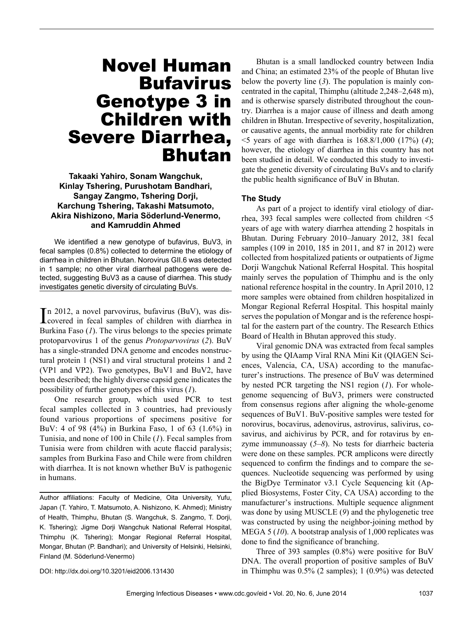# Novel Human **Bufavirus** Genotype 3 in Children with Severe Diarrhea, Bhutan

#### **Takaaki Yahiro, Sonam Wangchuk, Kinlay Tshering, Purushotam Bandhari, Sangay Zangmo, Tshering Dorji, Karchung Tshering, Takashi Matsumoto, Akira Nishizono, Maria Söderlund-Venermo, and Kamruddin Ahmed**

We identified a new genotype of bufavirus, BuV3, in fecal samples (0.8%) collected to determine the etiology of diarrhea in children in Bhutan. Norovirus GII.6 was detected in 1 sample; no other viral diarrheal pathogens were detected, suggesting BuV3 as a cause of diarrhea. This study investigates genetic diversity of circulating BuVs.

In 2012, a novel parvovirus, bufavirus (BuV), was discovered in fecal samples of children with diarrhea in n 2012, a novel parvovirus, bufavirus (BuV), was dis-Burkina Faso (*1*). The virus belongs to the species primate protoparvovirus 1 of the genus *Protoparvovirus* (*2*). BuV has a single-stranded DNA genome and encodes nonstructural protein 1 (NS1) and viral structural proteins 1 and 2 (VP1 and VP2). Two genotypes, BuV1 and BuV2, have been described; the highly diverse capsid gene indicates the possibility of further genotypes of this virus (*1*).

One research group, which used PCR to test fecal samples collected in 3 countries, had previously found various proportions of specimens positive for BuV: 4 of 98 (4%) in Burkina Faso, 1 of 63 (1.6%) in Tunisia, and none of 100 in Chile (*1*). Fecal samples from Tunisia were from children with acute flaccid paralysis; samples from Burkina Faso and Chile were from children with diarrhea. It is not known whether BuV is pathogenic in humans.

Author affiliations: Faculty of Medicine, Oita University, Yufu, Japan (T. Yahiro, T. Matsumoto, A. Nishizono, K. Ahmed); Ministry of Health, Thimphu, Bhutan (S. Wangchuk, S. Zangmo, T. Dorji, K. Tshering); Jigme Dorji Wangchuk National Referral Hospital, Thimphu (K. Tshering); Mongar Regional Referral Hospital, Mongar, Bhutan (P. Bandhari); and University of Helsinki, Helsinki, Finland (M. Söderlund-Venermo)

DOI: http://dx.doi.org/10.3201/eid2006.131430

Bhutan is a small landlocked country between India and China; an estimated 23% of the people of Bhutan live below the poverty line (*3*). The population is mainly concentrated in the capital, Thimphu (altitude 2,248–2,648 m), and is otherwise sparsely distributed throughout the country. Diarrhea is a major cause of illness and death among children in Bhutan. Irrespective of severity, hospitalization, or causative agents, the annual morbidity rate for children <5 years of age with diarrhea is 168.8/1,000 (17%) (*4*); however, the etiology of diarrhea in this country has not been studied in detail. We conducted this study to investigate the genetic diversity of circulating BuVs and to clarify the public health significance of BuV in Bhutan.

#### **The Study**

As part of a project to identify viral etiology of diarrhea, 393 fecal samples were collected from children <5 years of age with watery diarrhea attending 2 hospitals in Bhutan. During February 2010–January 2012, 381 fecal samples (109 in 2010, 185 in 2011, and 87 in 2012) were collected from hospitalized patients or outpatients of Jigme Dorji Wangchuk National Referral Hospital. This hospital mainly serves the population of Thimphu and is the only national reference hospital in the country. In April 2010, 12 more samples were obtained from children hospitalized in Mongar Regional Referral Hospital. This hospital mainly serves the population of Mongar and is the reference hospital for the eastern part of the country. The Research Ethics Board of Health in Bhutan approved this study.

Viral genomic DNA was extracted from fecal samples by using the QIAamp Viral RNA Mini Kit (QIAGEN Sciences, Valencia, CA, USA) according to the manufacturer's instructions. The presence of BuV was determined by nested PCR targeting the NS1 region (*1*). For wholegenome sequencing of BuV3, primers were constructed from consensus regions after aligning the whole-genome sequences of BuV1. BuV-positive samples were tested for norovirus, bocavirus, adenovirus, astrovirus, salivirus, cosavirus, and aichivirus by PCR, and for rotavirus by enzyme immunoassay (*5*–*8*). No tests for diarrheic bacteria were done on these samples. PCR amplicons were directly sequenced to confirm the findings and to compare the sequences. Nucleotide sequencing was performed by using the BigDye Terminator v3.1 Cycle Sequencing kit (Applied Biosystems, Foster City, CA USA) according to the manufacturer's instructions. Multiple sequence alignment was done by using MUSCLE (*9*) and the phylogenetic tree was constructed by using the neighbor-joining method by MEGA 5 (*10*). A bootstrap analysis of 1,000 replicates was done to find the significance of branching.

Three of 393 samples (0.8%) were positive for BuV DNA. The overall proportion of positive samples of BuV in Thimphu was 0.5% (2 samples); 1 (0.9%) was detected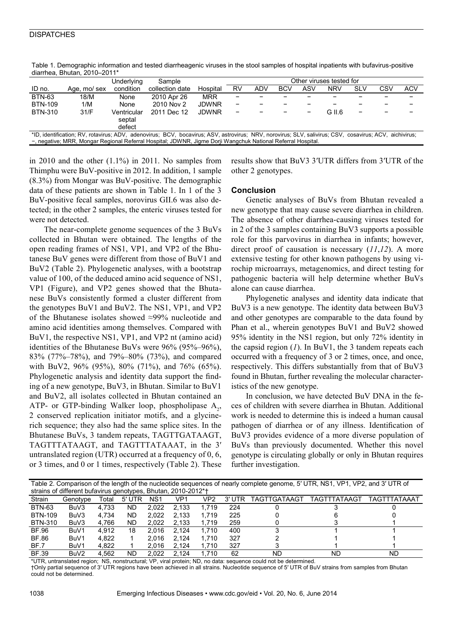#### **DISPATCHES**

| $arrows$ , $arrows$ , $arrows$ , $arrows$                                                                                                              |             |                                 |                 |              |                          |            |            |     |            |     |     |            |
|--------------------------------------------------------------------------------------------------------------------------------------------------------|-------------|---------------------------------|-----------------|--------------|--------------------------|------------|------------|-----|------------|-----|-----|------------|
|                                                                                                                                                        |             | Underlying                      | Sample          |              | Other viruses tested for |            |            |     |            |     |     |            |
| ID no.                                                                                                                                                 | Age, mo/sex | condition                       | collection date | Hospital     | RV                       | <b>ADV</b> | <b>BCV</b> | ASV | <b>NRV</b> | SLV | CSV | <b>ACV</b> |
| <b>BTN-63</b>                                                                                                                                          | 18/M        | None                            | 2010 Apr 26     | <b>MRR</b>   |                          |            |            |     |            |     |     |            |
| <b>BTN-109</b>                                                                                                                                         | 1/M         | None                            | 2010 Nov 2      | <b>JDWNR</b> |                          |            |            |     |            |     |     |            |
| <b>BTN-310</b>                                                                                                                                         | 31/F        | Ventricular<br>septal<br>defect | 2011 Dec 12     | <b>JDWNR</b> |                          |            |            |     | G II.6     |     |     |            |
| *ID, identification; RV, rotavirus; ADV, adenovirus; BCV, bocavirus; ASV, astrovirus; NRV, norovirus; SLV, salivirus; CSV, cosavirus; ACV, aichivirus; |             |                                 |                 |              |                          |            |            |     |            |     |     |            |
| -, negative; MRR, Mongar Regional Referral Hospital; JDWNR, Jigme Dorji Wangchuk National Referral Hospital.                                           |             |                                 |                 |              |                          |            |            |     |            |     |     |            |

Table 1. Demographic information and tested diarrheagenic viruses in the stool samples of hospital inpatients with bufavirus-positive diarrhea, Bhutan, 2010–2011\*

in 2010 and the other  $(1.1\%)$  in 2011. No samples from Thimphu were BuV-positive in 2012. In addition, 1 sample (8.3%) from Mongar was BuV-positive. The demographic data of these patients are shown in Table 1. In 1 of the 3 BuV-positive fecal samples, norovirus GII.6 was also detected; in the other 2 samples, the enteric viruses tested for were not detected.

The near-complete genome sequences of the 3 BuVs collected in Bhutan were obtained. The lengths of the open reading frames of NS1, VP1, and VP2 of the Bhutanese BuV genes were different from those of BuV1 and BuV2 (Table 2). Phylogenetic analyses, with a bootstrap value of 100, of the deduced amino acid sequence of NS1, VP1 (Figure), and VP2 genes showed that the Bhutanese BuVs consistently formed a cluster different from the genotypes BuV1 and BuV2. The NS1, VP1, and VP2 of the Bhutanese isolates showed ≈99% nucleotide and amino acid identities among themselves. Compared with BuV1, the respective NS1, VP1, and VP2 nt (amino acid) identities of the Bhutanese BuVs were 96% (95%–96%), 83% (77%–78%), and 79%–80% (73%), and compared with BuV2, 96% (95%), 80% (71%), and 76% (65%). Phylogenetic analysis and identity data support the finding of a new genotype, BuV3, in Bhutan. Similar to BuV1 and BuV2, all isolates collected in Bhutan contained an ATP- or GTP-binding Walker loop, phospholipase  $A_2$ , 2 conserved replication initiator motifs, and a glycinerich sequence; they also had the same splice sites. In the Bhutanese BuVs, 3 tandem repeats, TAGTTGATAAGT, TAGTTTATAAGT, and TAGTTTATAAAT, in the 3′ untranslated region (UTR) occurred at a frequency of 0, 6, or 3 times, and 0 or 1 times, respectively (Table 2). These

results show that BuV3 3′UTR differs from 3′UTR of the other 2 genotypes.

#### **Conclusion**

Genetic analyses of BuVs from Bhutan revealed a new genotype that may cause severe diarrhea in children. The absence of other diarrhea-causing viruses tested for in 2 of the 3 samples containing BuV3 supports a possible role for this parvovirus in diarrhea in infants; however, direct proof of causation is necessary (*11*,*12*). A more extensive testing for other known pathogens by using virochip microarrays, metagenomics, and direct testing for pathogenic bacteria will help determine whether BuVs alone can cause diarrhea.

Phylogenetic analyses and identity data indicate that BuV3 is a new genotype. The identity data between BuV3 and other genotypes are comparable to the data found by Phan et al., wherein genotypes BuV1 and BuV2 showed 95% identity in the NS1 region, but only 72% identity in the capsid region (*1*). In BuV1, the 3 tandem repeats each occurred with a frequency of 3 or 2 times, once, and once, respectively. This differs substantially from that of BuV3 found in Bhutan, further revealing the molecular characteristics of the new genotype.

In conclusion, we have detected BuV DNA in the feces of children with severe diarrhea in Bhutan. Additional work is needed to determine this is indeed a human causal pathogen of diarrhea or of any illness. Identification of BuV3 provides evidence of a more diverse population of BuVs than previously documented. Whether this novel genotype is circulating globally or only in Bhutan requires further investigation.

| Table 2. Comparison of the length of the nucleotide sequences of nearly complete genome, 5' UTR, NS1, VP1, VP2, and 3' UTR of |                  |       |        |                 |       |                 |        |              |              |              |  |
|-------------------------------------------------------------------------------------------------------------------------------|------------------|-------|--------|-----------------|-------|-----------------|--------|--------------|--------------|--------------|--|
| strains of different bufavirus genotypes, Bhutan, 2010-2012*†                                                                 |                  |       |        |                 |       |                 |        |              |              |              |  |
| Strain                                                                                                                        | Genotype         | Total | 5' UTR | NS <sub>1</sub> | VP1   | VP <sub>2</sub> | 3' UTR | TAGTTGATAAGT | TAGTTTATAAGT | TAGTTTATAAAT |  |
| <b>BTN-63</b>                                                                                                                 | BuV3             | 4.733 | ND.    | 2.022           | 2.133 | 1.719           | 224    |              |              |              |  |
| <b>BTN-109</b>                                                                                                                | BuV3             | 4.734 | ND     | 2.022           | 2.133 | 1.719           | 225    |              |              |              |  |
| <b>BTN-310</b>                                                                                                                | BuV3             | 4.766 | ND     | 2.022           | 2.133 | 1.719           | 259    |              |              |              |  |
| <b>BF.96</b>                                                                                                                  | BuV1             | 4.912 | 18     | 2.016           | 2.124 | 1.710           | 400    |              |              |              |  |
| BF.86                                                                                                                         | BuV1             | 4.822 |        | 2.016           | 2.124 | 1.710           | 327    |              |              |              |  |
| BF.7                                                                                                                          | BuV1             | 4.822 |        | 2.016           | 2.124 | 1.710           | 327    |              |              |              |  |
| <b>BF.39</b>                                                                                                                  | BuV <sub>2</sub> | 4.562 | ND     | 2.022           | 2.124 | 1.710           | 62     | ND           | ND           | <b>ND</b>    |  |

\*UTR, untranslated region; NS, nonstructural; VP, viral protein; ND, no data: sequence could not be determined.

†Only partial sequence of 3′ UTR regions have been achieved in all strains. Nucleotide sequence of 5′ UTR of BuV strains from samples from Bhutan could not be determined.